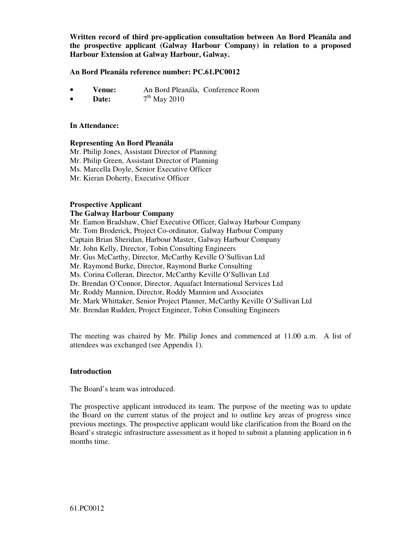**Written record of third pre-application consultation between An Bord Pleanála and the prospective applicant (Galway Harbour Company) in relation to a proposed Harbour Extension at Galway Harbour, Galway.** 

#### **An Bord Pleanála reference number: PC.61.PC0012**

- **Venue:** An Bord Pleanála, Conference Room
- **Date:** 7  $7<sup>th</sup>$  May 2010

#### **In Attendance:**

#### **Representing An Bord Pleanála**

Mr. Philip Jones, Assistant Director of Planning Mr. Philip Green, Assistant Director of Planning Ms. Marcella Doyle, Senior Executive Officer Mr. Kieran Doherty, Executive Officer

# **Prospective Applicant**

## **The Galway Harbour Company**

Mr. Eamon Bradshaw, Chief Executive Officer, Galway Harbour Company

Mr. Tom Broderick, Project Co-ordinator, Galway Harbour Company

Captain Brian Sheridan, Harbour Master, Galway Harbour Company

Mr. John Kelly, Director, Tobin Consulting Engineers

Mr. Gus McCarthy, Director, McCarthy Keville O'Sullivan Ltd

Mr. Raymond Burke, Director, Raymond Burke Consulting

Ms. Corina Colleran, Director, McCarthy Keville O'Sullivan Ltd

Dr. Brendan O'Connor, Director, Aquafact International Services Ltd

Mr. Roddy Mannion, Director, Roddy Mannion and Associates

Mr. Mark Whittaker, Senior Project Planner, McCarthy Keville O'Sullivan Ltd

Mr. Brendan Rudden, Project Engineer, Tobin Consulting Engineers

The meeting was chaired by Mr. Philip Jones and commenced at 11.00 a.m. A list of attendees was exchanged (see Appendix 1).

#### **Introduction**

The Board's team was introduced.

The prospective applicant introduced its team. The purpose of the meeting was to update the Board on the current status of the project and to outline key areas of progress since previous meetings. The prospective applicant would like clarification from the Board on the Board's strategic infrastructure assessment as it hoped to submit a planning application in 6 months time.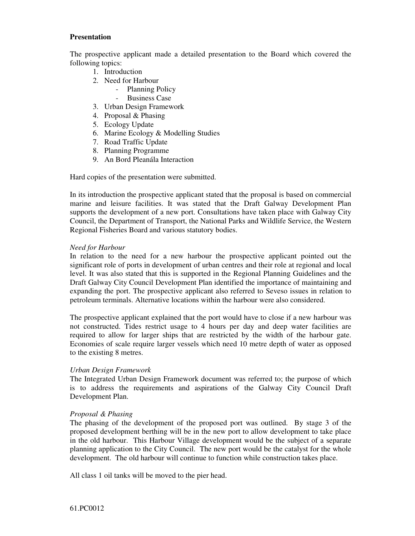#### **Presentation**

The prospective applicant made a detailed presentation to the Board which covered the following topics:

- 1. Introduction
- 2. Need for Harbour
	- Planning Policy
	- Business Case
- 3. Urban Design Framework
- 4. Proposal & Phasing
- 5. Ecology Update
- 6. Marine Ecology & Modelling Studies
- 7. Road Traffic Update
- 8. Planning Programme
- 9. An Bord Pleanála Interaction

Hard copies of the presentation were submitted.

In its introduction the prospective applicant stated that the proposal is based on commercial marine and leisure facilities. It was stated that the Draft Galway Development Plan supports the development of a new port. Consultations have taken place with Galway City Council, the Department of Transport, the National Parks and Wildlife Service, the Western Regional Fisheries Board and various statutory bodies.

## *Need for Harbour*

In relation to the need for a new harbour the prospective applicant pointed out the significant role of ports in development of urban centres and their role at regional and local level. It was also stated that this is supported in the Regional Planning Guidelines and the Draft Galway City Council Development Plan identified the importance of maintaining and expanding the port. The prospective applicant also referred to Seveso issues in relation to petroleum terminals. Alternative locations within the harbour were also considered.

The prospective applicant explained that the port would have to close if a new harbour was not constructed. Tides restrict usage to 4 hours per day and deep water facilities are required to allow for larger ships that are restricted by the width of the harbour gate. Economies of scale require larger vessels which need 10 metre depth of water as opposed to the existing 8 metres.

## *Urban Design Framework*

The Integrated Urban Design Framework document was referred to; the purpose of which is to address the requirements and aspirations of the Galway City Council Draft Development Plan.

## *Proposal & Phasing*

The phasing of the development of the proposed port was outlined. By stage 3 of the proposed development berthing will be in the new port to allow development to take place in the old harbour. This Harbour Village development would be the subject of a separate planning application to the City Council. The new port would be the catalyst for the whole development. The old harbour will continue to function while construction takes place.

All class 1 oil tanks will be moved to the pier head.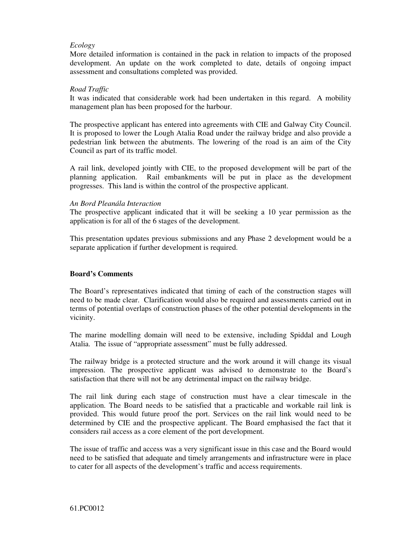# *Ecology*

More detailed information is contained in the pack in relation to impacts of the proposed development. An update on the work completed to date, details of ongoing impact assessment and consultations completed was provided.

#### *Road Traffic*

It was indicated that considerable work had been undertaken in this regard. A mobility management plan has been proposed for the harbour.

The prospective applicant has entered into agreements with CIE and Galway City Council. It is proposed to lower the Lough Atalia Road under the railway bridge and also provide a pedestrian link between the abutments. The lowering of the road is an aim of the City Council as part of its traffic model.

A rail link, developed jointly with CIE, to the proposed development will be part of the planning application. Rail embankments will be put in place as the development progresses. This land is within the control of the prospective applicant.

#### *An Bord Pleanála Interaction*

The prospective applicant indicated that it will be seeking a 10 year permission as the application is for all of the 6 stages of the development.

This presentation updates previous submissions and any Phase 2 development would be a separate application if further development is required.

## **Board's Comments**

The Board's representatives indicated that timing of each of the construction stages will need to be made clear. Clarification would also be required and assessments carried out in terms of potential overlaps of construction phases of the other potential developments in the vicinity.

The marine modelling domain will need to be extensive, including Spiddal and Lough Atalia. The issue of "appropriate assessment" must be fully addressed.

The railway bridge is a protected structure and the work around it will change its visual impression. The prospective applicant was advised to demonstrate to the Board's satisfaction that there will not be any detrimental impact on the railway bridge.

The rail link during each stage of construction must have a clear timescale in the application. The Board needs to be satisfied that a practicable and workable rail link is provided. This would future proof the port. Services on the rail link would need to be determined by CIE and the prospective applicant. The Board emphasised the fact that it considers rail access as a core element of the port development.

The issue of traffic and access was a very significant issue in this case and the Board would need to be satisfied that adequate and timely arrangements and infrastructure were in place to cater for all aspects of the development's traffic and access requirements.